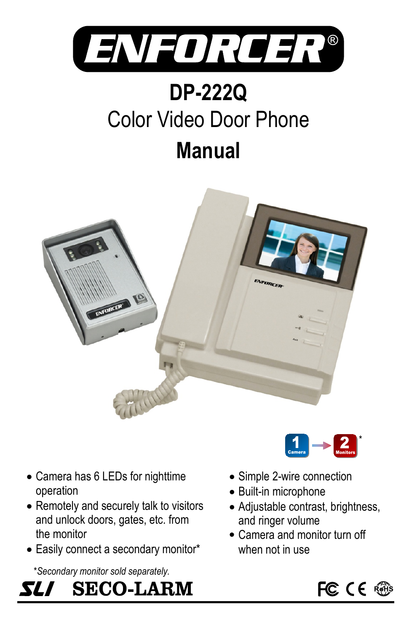

# **Manual** Color Video Door Phone **DP-222Q**



- Camera has 6 LEDs for nighttime operation
- Remotely and securely talk to visitors and unlock doors, gates, etc. from the monitor
- Easily connect a secondary monitor\*

\**Secondary monitor sold separately.*



- Simple 2-wire connection
- Built-in microphone
- Adjustable contrast, brightness, and ringer volume

 $\begin{array}{|c|c|}\n\hline\n\text{Camera}\n\end{array}$   $\begin{array}{|c|c|}\n\hline\n\text{Montor}\n\end{array}$ 

Camera and monitor turn off when not in use



\*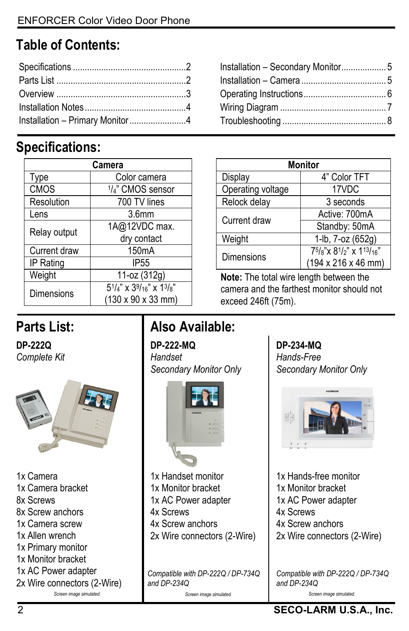# **Table of Contents:**

| Installation - Primary Monitor4 |
|---------------------------------|
|                                 |

## **Specifications:**

| Camera            |                                                                         |  |
|-------------------|-------------------------------------------------------------------------|--|
| Type              | Color camera                                                            |  |
| <b>CMOS</b>       | 1/4" CMOS sensor                                                        |  |
| Resolution        | 700 TV lines                                                            |  |
| Lens              | 3.6 <sub>mm</sub>                                                       |  |
| Relay output      | 1A@12VDC max.                                                           |  |
|                   | dry contact                                                             |  |
| Current draw      | 150 <sub>m</sub> A                                                      |  |
| IP Rating         | IP <sub>55</sub>                                                        |  |
| Weight            | 11-oz (312g)                                                            |  |
| <b>Dimensions</b> | $5^{1}/_{4}$ " x $3^{9}/_{16}$ " x $1^{3}/_{8}$ "<br>(130 x 90 x 33 mm) |  |

| Installation - Secondary Monitor 5 |  |
|------------------------------------|--|
|                                    |  |
|                                    |  |
|                                    |  |
|                                    |  |

| Monitor           |                        |  |
|-------------------|------------------------|--|
| Display           | 4" Color TFT           |  |
| Operating voltage | 17VDC                  |  |
| Relock delay      | 3 seconds              |  |
| Current draw      | Active: 700mA          |  |
|                   | Standby: 50mA          |  |
| Weight            | 1-lb, 7-oz (652g)      |  |
| <b>Dimensions</b> | 75/8"x 81/2" x 113/16" |  |
|                   | (194 x 216 x 46 mm)    |  |

**Note:** The total wire length between the camera and the farthest monitor should not exceed 246ft (75m).

# **Parts List:**

**DP-222Q** *Complete Kit*



1x Camera 1x Camera bracket 8x Screws 8x Screw anchors 1x Camera screw 1x Allen wrench 1x Primary monitor 1x Monitor bracket 1x AC Power adapter 2x Wire connectors (2-Wire)

# **Also Available:**

**DP-222-MQ** *Handset Secondary Monitor Only*



1x Handset monitor 1x Monitor bracket 1x AC Power adapter 4x Screws 4x Screw anchors

2x Wire connectors (2-Wire)

*Compatible with DP-222Q / DP-734Q and DP-234Q*

*Screen image simulated. Screen image simulated.*

**DP-234-MQ** *Hands-Free Secondary Monitor Only*



1x Hands-free monitor 1x Monitor bracket 1x AC Power adapter 4x Screws 4x Screw anchors 2x Wire connectors (2-Wire)

*Compatible with DP-222Q / DP-734Q and DP-234Q*

*Screen image simulated.*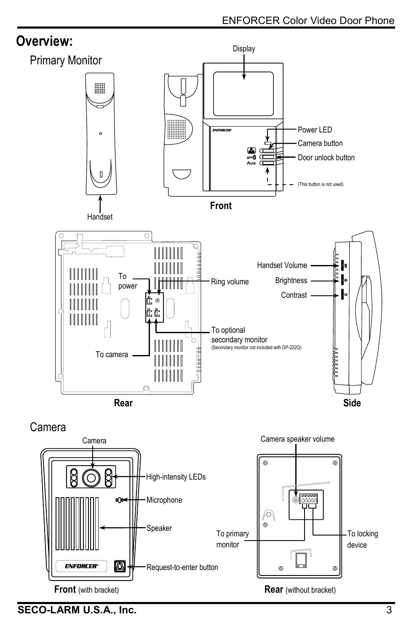

Request-to-enter button

**Front** (with bracket) **Rear** (without bracket)

To primary monitor

.<br>ල

Speaker



**ENFORCER** 

۵

To locking device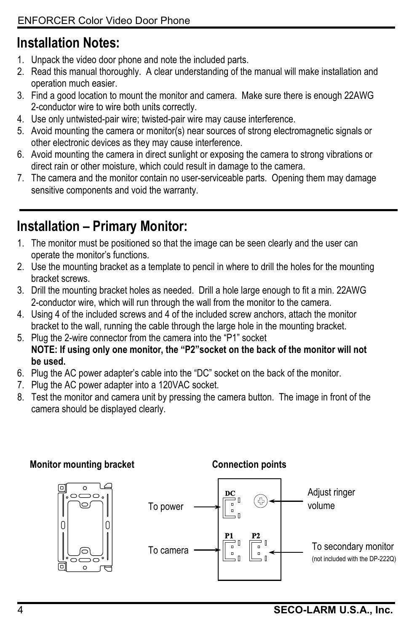# **Installation Notes:**

- 1. Unpack the video door phone and note the included parts.
- 2. Read this manual thoroughly. A clear understanding of the manual will make installation and operation much easier.
- 3. Find a good location to mount the monitor and camera. Make sure there is enough 22AWG 2-conductor wire to wire both units correctly.
- 4. Use only untwisted-pair wire; twisted-pair wire may cause interference.
- 5. Avoid mounting the camera or monitor(s) near sources of strong electromagnetic signals or other electronic devices as they may cause interference.
- 6. Avoid mounting the camera in direct sunlight or exposing the camera to strong vibrations or direct rain or other moisture, which could result in damage to the camera.
- 7. The camera and the monitor contain no user-serviceable parts. Opening them may damage sensitive components and void the warranty.

# **Installation – Primary Monitor:**

- 1. The monitor must be positioned so that the image can be seen clearly and the user can operate the monitor's functions.
- 2. Use the mounting bracket as a template to pencil in where to drill the holes for the mounting bracket screws.
- 3. Drill the mounting bracket holes as needed. Drill a hole large enough to fit a min. 22AWG 2-conductor wire, which will run through the wall from the monitor to the camera.
- 4. Using 4 of the included screws and 4 of the included screw anchors, attach the monitor bracket to the wall, running the cable through the large hole in the mounting bracket.
- 5. Plug the 2-wire connector from the camera into the "P1" socket **NOTE: If using only one monitor, the "P2"socket on the back of the monitor will not be used.**
- 6. Plug the AC power adapter's cable into the "DC" socket on the back of the monitor.
- 7. Plug the AC power adapter into a 120VAC socket.
- 8. Test the monitor and camera unit by pressing the camera button. The image in front of the camera should be displayed clearly.

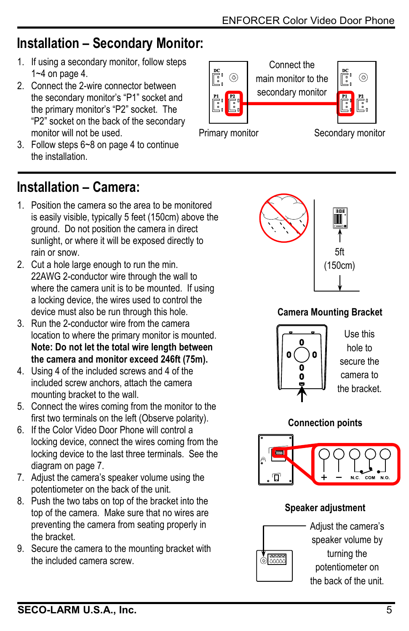## **Installation – Secondary Monitor:**

- 1. If using a secondary monitor, follow steps 1~4 on page 4.
- 2. Connect the 2-wire connector between the secondary monitor's "P1" socket and the primary monitor's "P2" socket. The "P2" socket on the back of the secondary monitor will not be used.
- 3. Follow steps 6~8 on page 4 to continue the installation.

# **Installation – Camera:**

- 1. Position the camera so the area to be monitored is easily visible, typically 5 feet (150cm) above the ground. Do not position the camera in direct sunlight, or where it will be exposed directly to rain or snow.
- 2. Cut a hole large enough to run the min. 22AWG 2-conductor wire through the wall to where the camera unit is to be mounted. If using a locking device, the wires used to control the device must also be run through this hole.
- 3. Run the 2-conductor wire from the camera location to where the primary monitor is mounted. **Note: Do not let the total wire length between the camera and monitor exceed 246ft (75m).**
- 4. Using 4 of the included screws and 4 of the included screw anchors, attach the camera mounting bracket to the wall.
- 5. Connect the wires coming from the monitor to the first two terminals on the left (Observe polarity).
- 6. If the Color Video Door Phone will control a locking device, connect the wires coming from the locking device to the last three terminals. See the diagram on page 7.
- 7. Adjust the camera's speaker volume using the potentiometer on the back of the unit.
- 8. Push the two tabs on top of the bracket into the top of the camera. Make sure that no wires are preventing the camera from seating properly in the bracket.
- 9. Secure the camera to the mounting bracket with the included camera screw.





#### **Camera Mounting Bracket**



Use this hole to secure the camera to the bracket.

#### **Connection points**



#### **Speaker adjustment**



Adjust the camera's speaker volume by turning the potentiometer on the back of the unit.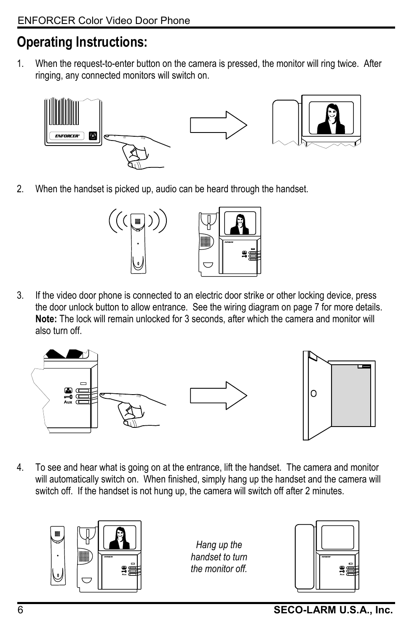# **Operating Instructions:**

1. When the request-to-enter button on the camera is pressed, the monitor will ring twice. After ringing, any connected monitors will switch on.



2. When the handset is picked up, audio can be heard through the handset.



3. If the video door phone is connected to an electric door strike or other locking device, press the door unlock button to allow entrance. See the wiring diagram on page 7 for more details. **Note:** The lock will remain unlocked for 3 seconds, after which the camera and monitor will also turn off.



4. To see and hear what is going on at the entrance, lift the handset. The camera and monitor will automatically switch on. When finished, simply hang up the handset and the camera will switch off. If the handset is not hung up, the camera will switch off after 2 minutes.



*Hang up the handset to turn the monitor off.*

| EVROCER | 10<br>10 |
|---------|----------|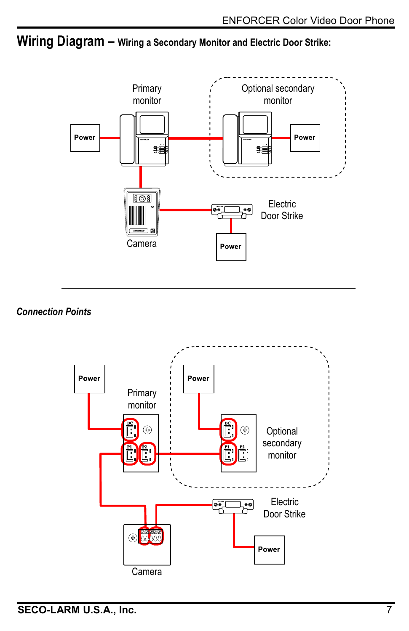#### **Wiring Diagram – Wiring a Secondary Monitor and Electric Door Strike:**



#### *Connection Points*